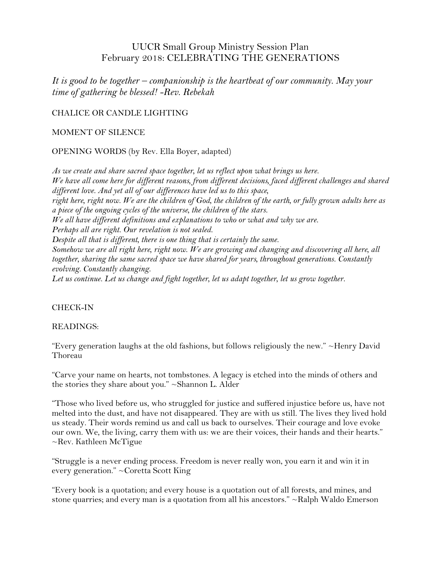# UUCR Small Group Ministry Session Plan February 2018: CELEBRATING THE GENERATIONS

*It is good to be together – companionship is the heartbeat of our community. May your time of gathering be blessed! -Rev. Rebekah*

### CHALICE OR CANDLE LIGHTING

#### MOMENT OF SILENCE

OPENING WORDS (by Rev. Ella Boyer, adapted)

*As we create and share sacred space together, let us reflect upon what brings us here. We have all come here for different reasons, from different decisions, faced different challenges and shared different love. And yet all of our differences have led us to this space, right here, right now. We are the children of God, the children of the earth, or fully grown adults here as a piece of the ongoing cycles of the universe, the children of the stars. We all have different definitions and explanations to who or what and why we are. Perhaps all are right. Our revelation is not sealed. Despite all that is different, there is one thing that is certainly the same. Somehow we are all right here, right now. We are growing and changing and discovering all here, all together, sharing the same sacred space we have shared for years, throughout generations. Constantly evolving. Constantly changing. Let us continue. Let us change and fight together, let us adapt together, let us grow together.*

#### CHECK-IN

#### READINGS:

"Every generation laughs at the old fashions, but follows religiously the new." ~Henry David Thoreau

"Carve your name on hearts, not tombstones. A legacy is etched into the minds of others and the stories they share about you." ~Shannon L. Alder

"Those who lived before us, who struggled for justice and suffered injustice before us, have not melted into the dust, and have not disappeared. They are with us still. The lives they lived hold us steady. Their words remind us and call us back to ourselves. Their courage and love evoke our own. We, the living, carry them with us: we are their voices, their hands and their hearts." ~Rev. Kathleen McTigue

"Struggle is a never ending process. Freedom is never really won, you earn it and win it in every generation." ~Coretta Scott King

"Every book is a quotation; and every house is a quotation out of all forests, and mines, and stone quarries; and every man is a quotation from all his ancestors."  $\sim$ Ralph Waldo Emerson